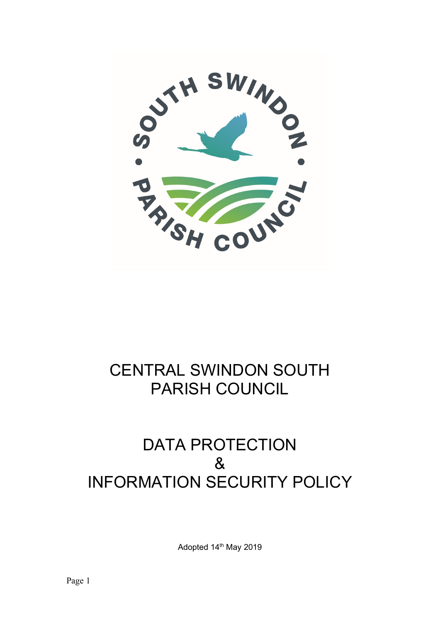

# CENTRAL SWINDON SOUTH PARISH COUNCIL

## DATA PROTECTION & INFORMATION SECURITY POLICY

Adopted 14<sup>th</sup> May 2019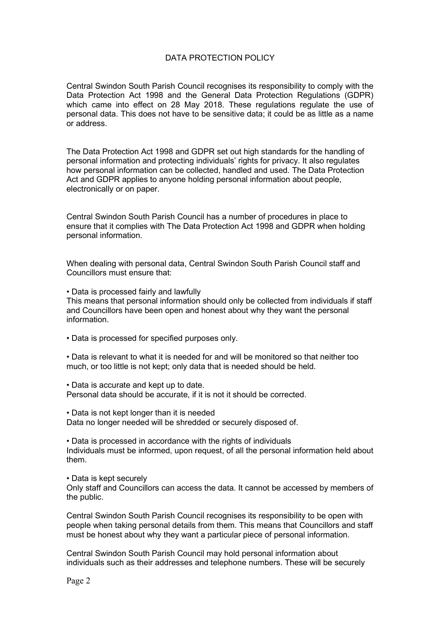### DATA PROTECTION POLICY

Central Swindon South Parish Council recognises its responsibility to comply with the Data Protection Act 1998 and the General Data Protection Regulations (GDPR) which came into effect on 28 May 2018. These regulations regulate the use of personal data. This does not have to be sensitive data; it could be as little as a name or address.

The Data Protection Act 1998 and GDPR set out high standards for the handling of personal information and protecting individuals' rights for privacy. It also regulates how personal information can be collected, handled and used. The Data Protection Act and GDPR applies to anyone holding personal information about people, electronically or on paper.

Central Swindon South Parish Council has a number of procedures in place to ensure that it complies with The Data Protection Act 1998 and GDPR when holding personal information.

When dealing with personal data, Central Swindon South Parish Council staff and Councillors must ensure that:

• Data is processed fairly and lawfully

This means that personal information should only be collected from individuals if staff and Councillors have been open and honest about why they want the personal information.

• Data is processed for specified purposes only.

• Data is relevant to what it is needed for and will be monitored so that neither too much, or too little is not kept; only data that is needed should be held.

• Data is accurate and kept up to date.

Personal data should be accurate, if it is not it should be corrected.

• Data is not kept longer than it is needed Data no longer needed will be shredded or securely disposed of.

• Data is processed in accordance with the rights of individuals Individuals must be informed, upon request, of all the personal information held about them.

• Data is kept securely

Only staff and Councillors can access the data. It cannot be accessed by members of the public.

Central Swindon South Parish Council recognises its responsibility to be open with people when taking personal details from them. This means that Councillors and staff must be honest about why they want a particular piece of personal information.

Central Swindon South Parish Council may hold personal information about individuals such as their addresses and telephone numbers. These will be securely